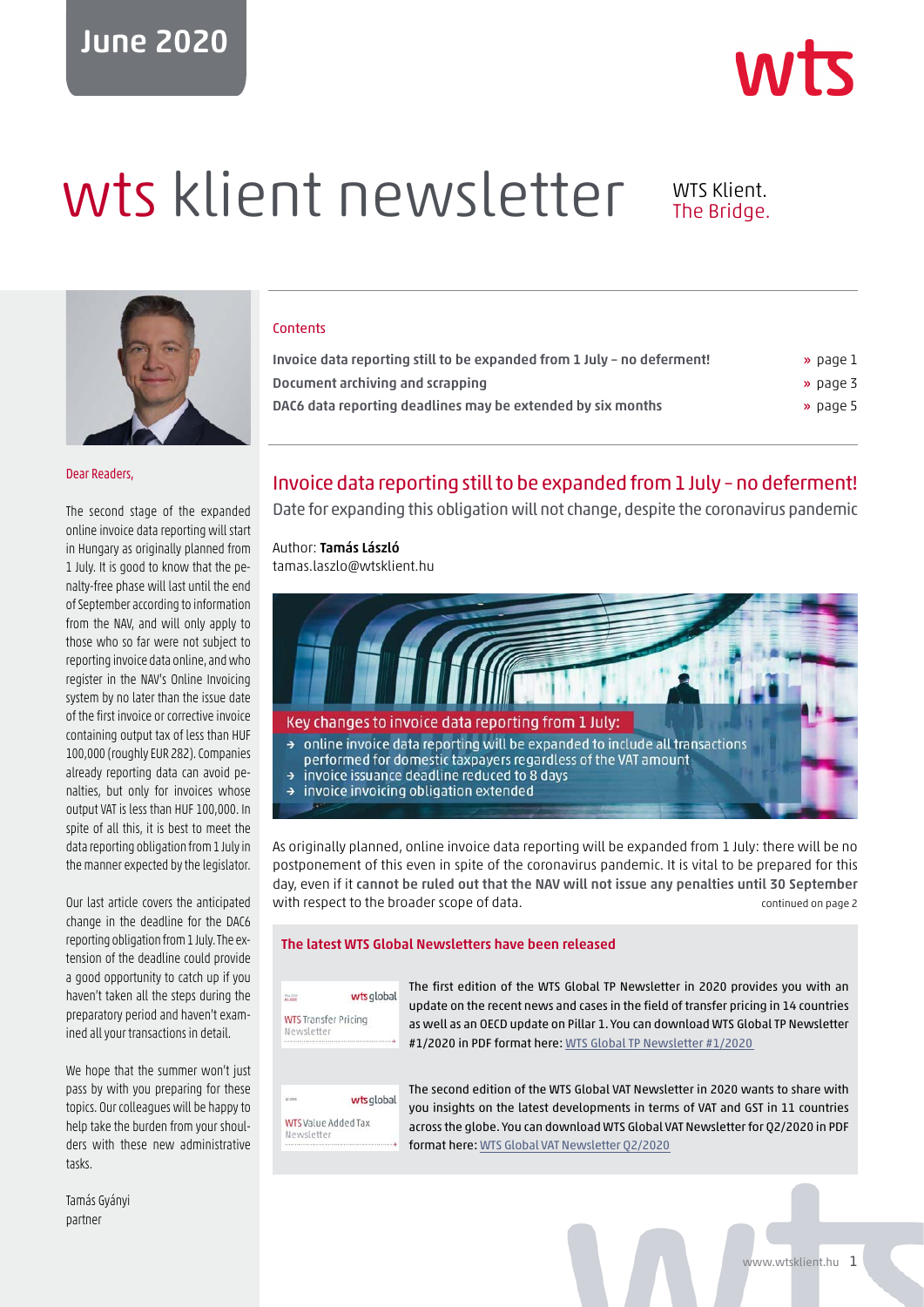## **June 2020**



# wts klient newsletter WTS Klient.

## The Bridge.



Dear Readers,

The second stage of the expanded online invoice data reporting will start in Hungary as originally planned from 1 July. It is good to know that the penalty-free phase will last until the end of September according to information from the NAV, and will only apply to those who so far were not subject to reporting invoice data online, and who register in the NAV's Online Invoicing system by no later than the issue date of the first invoice or corrective invoice containing output tax of less than HUF 100,000 (roughly EUR 282). Companies already reporting data can avoid penalties, but only for invoices whose output VAT is less than HUF 100,000. In spite of all this, it is best to meet the data reporting obligation from 1 July in the manner expected by the legislator.

Our last article covers the anticipated change in the deadline for the DAC6 reporting obligation from 1 July. The extension of the deadline could provide a good opportunity to catch up if you haven't taken all the steps during the preparatory period and haven't examined all your transactions in detail.

We hope that the summer won't just pass by with you preparing for these topics. Our colleagues will be happy to help take the burden from your shoulders with these new administrative tasks.

Tamás Gyányi partner

#### **Contents**

| Invoice data reporting still to be expanded from 1 July - no deferment! | » page 1 |
|-------------------------------------------------------------------------|----------|
| Document archiving and scrapping                                        | » page 3 |
| DAC6 data reporting deadlines may be extended by six months             | » page 5 |

#### Invoice data reporting still to be expanded from 1 July – no deferment!

Date for expanding this obligation will not change, despite the coronavirus pandemic

## Author: **Tamás László**

tamas.laszlo@wtsklient.hu



As originally planned, online invoice data reporting will be expanded from 1 July: there will be no postponement of this even in spite of the coronavirus pandemic. It is vital to be prepared for this day, even if it **cannot be ruled out that the NAV will not issue any penalties until 30 September** with respect to the broader scope of data. Continued on page 2

#### **The latest WTS Global Newsletters have been released**

wts global  $\frac{m_{11}}{43.000}$ **WTS** Transfer Pricing Newsletter

The first edition of the WTS Global TP Newsletter in 2020 provides you with an update on the recent news and cases in the field of transfer pricing in 14 countries as well as an OECD update on Pillar 1. You can download WTS Global TP Newsletter #1/2020 in PDF format here: [WTS Global TP Newsletter #1/2020](https://wtsklient.hu/wp-content/uploads/2020/05/wts-newsletter-tp-1-2020.pdf)

 $w$ ts global **WTS** Value Added Tax Newsletter

The second edition of the WTS Global VAT Newsletter in 2020 wants to share with you insights on the latest developments in terms of VAT and GST in 11 countries across the globe. You can download WTS Global VAT Newsletter for Q2/2020 in PDF format here: [WTS Global VAT Newsletter Q2/2020](https://wtsklient.hu/wp-content/uploads/2020/06/wts-vat-newsletter-2-2020.pdf)

www.wtsklient.hu 1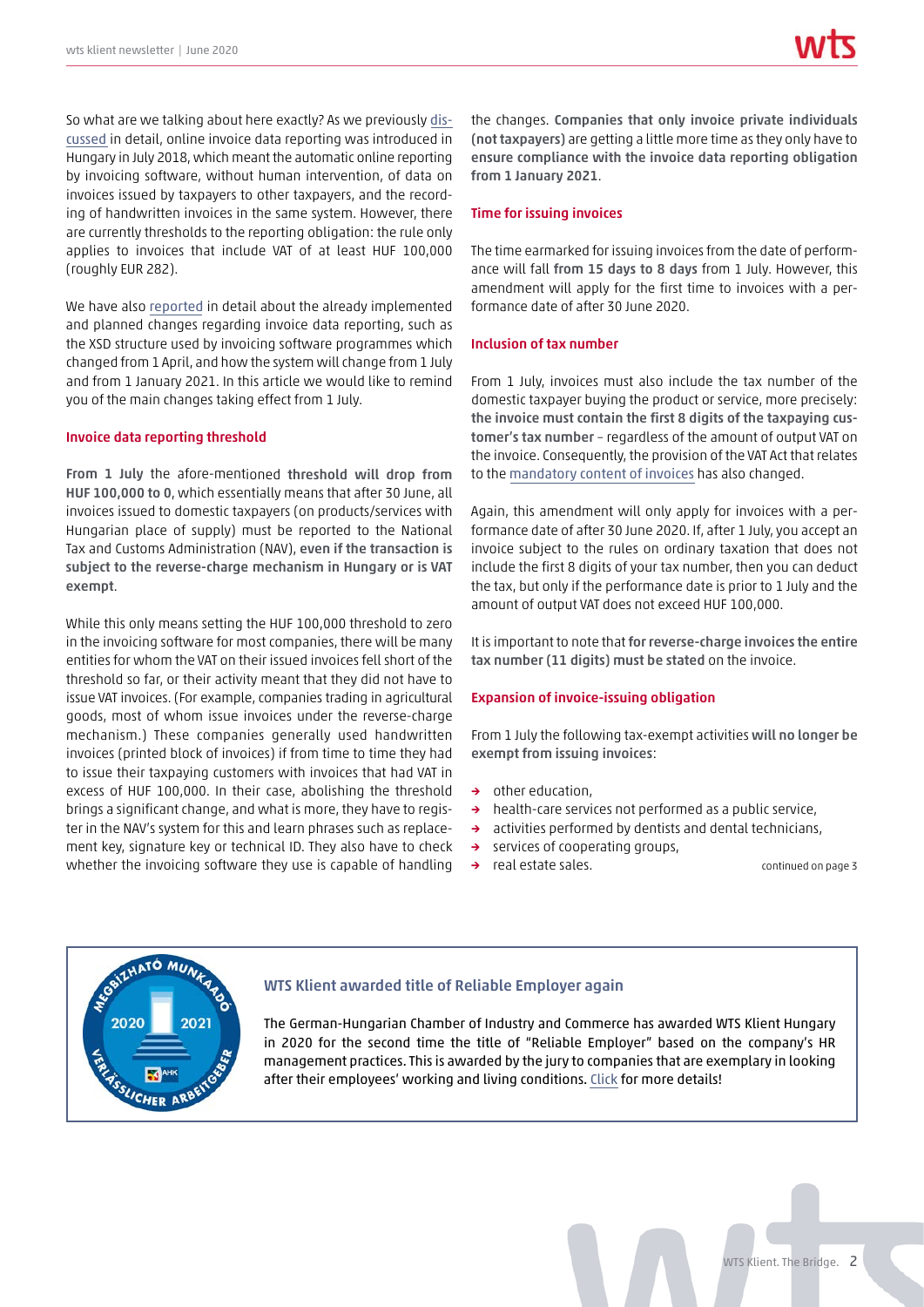So what are we talking about here exactly? As we previously [dis](https://wtsklient.hu/en/2018/06/15/online-invoicing-live-system/)[cussed](https://wtsklient.hu/en/2018/06/15/online-invoicing-live-system/) in detail, online invoice data reporting was introduced in Hungary in July 2018, which meant the automatic online reporting by invoicing software, without human intervention, of data on invoices issued by taxpayers to other taxpayers, and the recording of handwritten invoices in the same system. However, there are currently thresholds to the reporting obligation: the rule only applies to invoices that include VAT of at least HUF 100,000 (roughly EUR 282).

We have also [reported](https://wtsklient.hu/en/2020/03/23/online-data-reporting-obligation-for-invoicing/) in detail about the already implemented and planned changes regarding invoice data reporting, such as the XSD structure used by invoicing software programmes which changed from 1 April, and how the system will change from 1 July and from 1 January 2021. In this article we would like to remind you of the main changes taking effect from 1 July.

#### **Invoice data reporting threshold**

**From 1 July** the afore-mentioned **threshold will drop from HUF 100,000 to 0**, which essentially means that after 30 June, all invoices issued to domestic taxpayers (on products/services with Hungarian place of supply) must be reported to the National Tax and Customs Administration (NAV), **even if the transaction is subject to the reverse-charge mechanism in Hungary or is VAT exempt**.

While this only means setting the HUF 100,000 threshold to zero in the invoicing software for most companies, there will be many entities for whom the VAT on their issued invoices fell short of the threshold so far, or their activity meant that they did not have to issue VAT invoices. (For example, companies trading in agricultural goods, most of whom issue invoices under the reverse-charge mechanism.) These companies generally used handwritten invoices (printed block of invoices) if from time to time they had to issue their taxpaying customers with invoices that had VAT in excess of HUF 100,000. In their case, abolishing the threshold brings a significant change, and what is more, they have to register in the NAV's system for this and learn phrases such as replacement key, signature key or technical ID. They also have to check whether the invoicing software they use is capable of handling

the changes. **Companies that only invoice private individuals (not taxpayers)** are getting a little more time as they only have to **ensure compliance with the invoice data reporting obligation from 1 January 2021**.

#### **Time for issuing invoices**

The time earmarked for issuing invoices from the date of performance will fall **from 15 days to 8 days** from 1 July. However, this amendment will apply for the first time to invoices with a performance date of after 30 June 2020.

#### **Inclusion of tax number**

From 1 July, invoices must also include the tax number of the domestic taxpayer buying the product or service, more precisely: **the invoice must contain the first 8 digits of the taxpaying customer's tax number** – regardless of the amount of output VAT on the invoice. Consequently, the provision of the VAT Act that relates to the [mandatory content of invoices](https://wtsklient.hu/en/2019/09/24/invoices/) has also changed.

Again, this amendment will only apply for invoices with a performance date of after 30 June 2020. If, after 1 July, you accept an invoice subject to the rules on ordinary taxation that does not include the first 8 digits of your tax number, then you can deduct the tax, but only if the performance date is prior to 1 July and the amount of output VAT does not exceed HUF 100,000.

It is important to note that **for reverse-charge invoices the entire tax number (11 digits) must be stated** on the invoice.

#### **Expansion of invoice-issuing obligation**

From 1 July the following tax-exempt activities **will no longer be exempt from issuing invoices**:

- **→** other education,
- **→** health-care services not performed as a public service,
- **→** activities performed by dentists and dental technicians,
- **→** services of cooperating groups,
- → real estate sales. continued on page 3



#### **WTS Klient awarded title of Reliable Employer again**

The German-Hungarian Chamber of Industry and Commerce has awarded WTS Klient Hungary in 2020 for the second time the title of "Reliable Employer" based on the company's HR [management practices. This is awarded by the jury to companies that are exemplary in looking](https://wtsklient.hu/en/2020/06/08/reliable-employer-2020-2021/) after their employees' working and living conditions. Click for more details!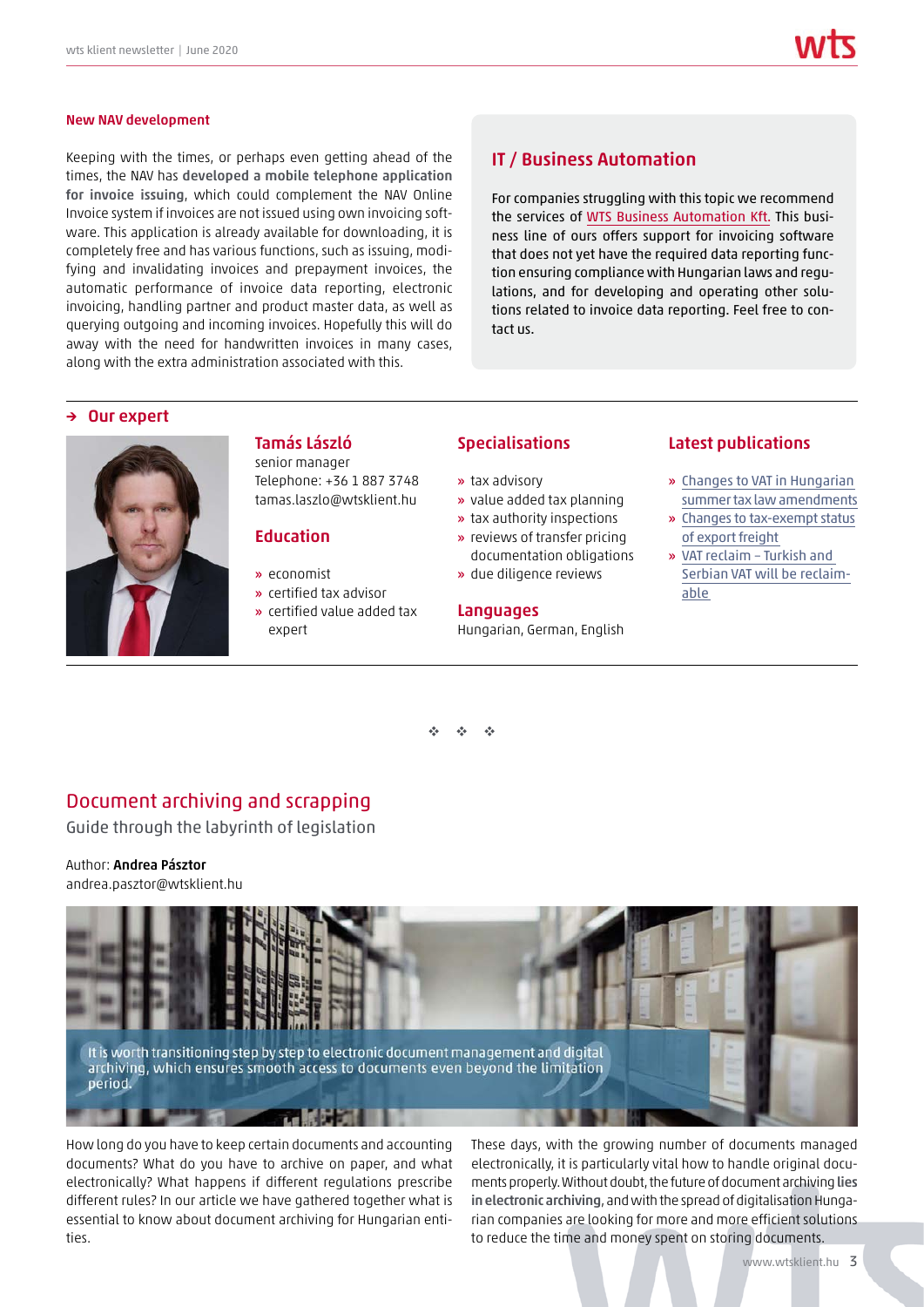#### **New NAV development**

Keeping with the times, or perhaps even getting ahead of the times, the NAV has **developed a mobile telephone application for invoice issuing**, which could complement the NAV Online Invoice system if invoices are not issued using own invoicing software. This application is already available for downloading, it is completely free and has various functions, such as issuing, modifying and invalidating invoices and prepayment invoices, the automatic performance of invoice data reporting, electronic invoicing, handling partner and product master data, as well as querying outgoing and incoming invoices. Hopefully this will do away with the need for handwritten invoices in many cases, along with the extra administration associated with this.

#### **IT / Business Automation**

For companies struggling with this topic we recommend the services of [WTS Business Automation Kft.](https://wtsklient.hu/en/services/it-business-automation/) This business line of ours offers support for invoicing software that does not yet have the required data reporting function ensuring compliance with Hungarian laws and regulations, and for developing and operating other solutions related to invoice data reporting. Feel free to contact us.

#### **→ Our expert**



#### **Tamás László** senior manager Telephone: +36 1 887 3748 tamas.laszlo@wtsklient.hu

#### **Education**

- **»** economist
- **»** certified tax advisor
- **»** certified value added tax expert

#### **Specialisations**

- **»** tax advisory
- **»** value added tax planning
- **»** tax authority inspections
- **»** reviews of transfer pricing
- documentation obligations **»** due diligence reviews

#### **Languages**

Hungarian, German, English

#### **Latest publications**

- **»** Changes to VAT in Hungarian [summer tax law amendments](https://wtsklient.hu/en/2019/07/30/changes-to-vat/)
- **»** [Changes to tax-exempt status](https://wtsklient.hu/en/2019/03/19/export-freight/) of export freight
- **»** VAT reclaim Turkish and [Serbian VAT will be reclaim](https://wtsklient.hu/en/2018/09/18/vat-reclaim-turkish-and-serbian-vat-will-be-reclaimable/)able

- --

#### Document archiving and scrapping

Guide through the labyrinth of legislation

#### Author: **Andrea Pásztor** andrea.pasztor@wtsklient.hu



How long do you have to keep certain documents and accounting documents? What do you have to archive on paper, and what electronically? What happens if different regulations prescribe different rules? In our article we have gathered together what is essential to know about document archiving for Hungarian entities.

These days, with the growing number of documents managed electronically, it is particularly vital how to handle original documents properly.Without doubt, the future of document archiving**lies in electronic archiving**, and with the spread of digitalisation Hungarian companies are looking for more and more efficient solutions to reduce the time and money spent on storing documents.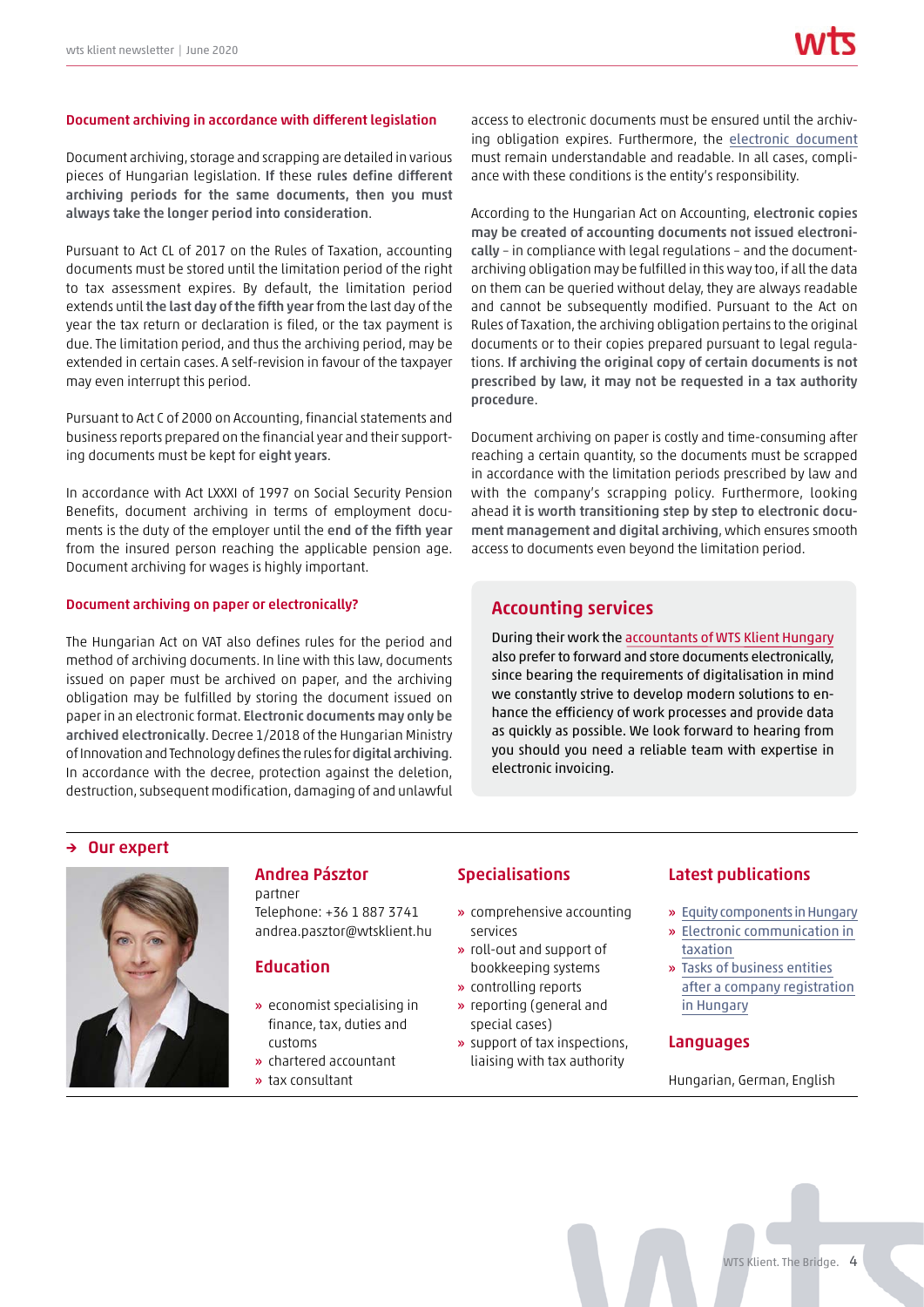#### **Document archiving in accordance with different legislation**

Document archiving, storage and scrapping are detailed in various pieces of Hungarian legislation. **If** these **rules define different archiving periods for the same documents, then you must always take the longer period into consideration**.

Pursuant to Act CL of 2017 on the Rules of Taxation, accounting documents must be stored until the limitation period of the right to tax assessment expires. By default, the limitation period extends until **the last day of the fifth year** from the last day of the year the tax return or declaration is filed, or the tax payment is due. The limitation period, and thus the archiving period, may be extended in certain cases. A self-revision in favour of the taxpayer may even interrupt this period.

Pursuant to Act C of 2000 on Accounting, financial statements and business reports prepared on the financial year and their supporting documents must be kept for **eight years**.

In accordance with Act LXXXI of 1997 on Social Security Pension Benefits, document archiving in terms of employment documents is the duty of the employer until the **end of the fifth year** from the insured person reaching the applicable pension age. Document archiving for wages is highly important.

#### **Document archiving on paper or electronically?**

The Hungarian Act on VAT also defines rules for the period and method of archiving documents. In line with this law, documents issued on paper must be archived on paper, and the archiving obligation may be fulfilled by storing the document issued on paper in an electronic format. **Electronic documents may only be archived electronically**. Decree 1/2018 of the Hungarian Ministry of Innovation and Technology defines the rules for**digital archiving**. In accordance with the decree, protection against the deletion, destruction, subsequent modification, damaging of and unlawful

access to electronic documents must be ensured until the archiving obligation expires. Furthermore, the [electronic document](https://wtsklient.hu/en/2019/08/13/electronic-invoices/) must remain understandable and readable. In all cases, compliance with these conditions is the entity's responsibility.

According to the Hungarian Act on Accounting, **electronic copies may be created of accounting documents not issued electronically** – in compliance with legal regulations – and the documentarchiving obligation may be fulfilled in this way too, if all the data on them can be queried without delay, they are always readable and cannot be subsequently modified. Pursuant to the Act on Rules of Taxation, the archiving obligation pertains to the original documents or to their copies prepared pursuant to legal regulations. **If archiving the original copy of certain documents is not prescribed by law, it may not be requested in a tax authority procedure**.

Document archiving on paper is costly and time-consuming after reaching a certain quantity, so the documents must be scrapped in accordance with the limitation periods prescribed by law and with the company's scrapping policy. Furthermore, looking ahead **it is worth transitioning step by step to electronic document management and digital archiving**, which ensures smooth access to documents even beyond the limitation period.

#### **Accounting services**

During their work the [accountants of WTS Klient Hungary](https://wtsklient.hu/en/services/accounting-services/) also prefer to forward and store documents electronically, since bearing the requirements of digitalisation in mind we constantly strive to develop modern solutions to enhance the efficiency of work processes and provide data as quickly as possible. We look forward to hearing from you should you need a reliable team with expertise in electronic invoicing.

#### **→ Our expert**



### **Andrea Pásztor**

partner

Telephone: +36 1 887 3741 andrea.pasztor@wtsklient.hu

#### **Education**

- **»** economist specialising in finance, tax, duties and customs
- **»** chartered accountant
- **»** tax consultant

#### **Specialisations**

- **»** comprehensive accounting services
- **»** roll-out and support of bookkeeping systems
- **»** controlling reports
- **»** reporting (general and special cases)
- **»** support of tax inspections, liaising with tax authority

#### **Latest publications**

- **»** [Equity components in Hungary](https://wtsklient.hu/en/2019/04/09/equity/)
- **»** [Electronic communication in](https://wtsklient.hu/en/2018/11/06/communication/) taxation
- **»** Tasks of business entities [after a company registration](https://wtsklient.hu/en/2018/03/13/company-registration-hungary/) in Hungary

#### **Languages**

Hungarian, German, English

WTS Klient. The Bridge. 4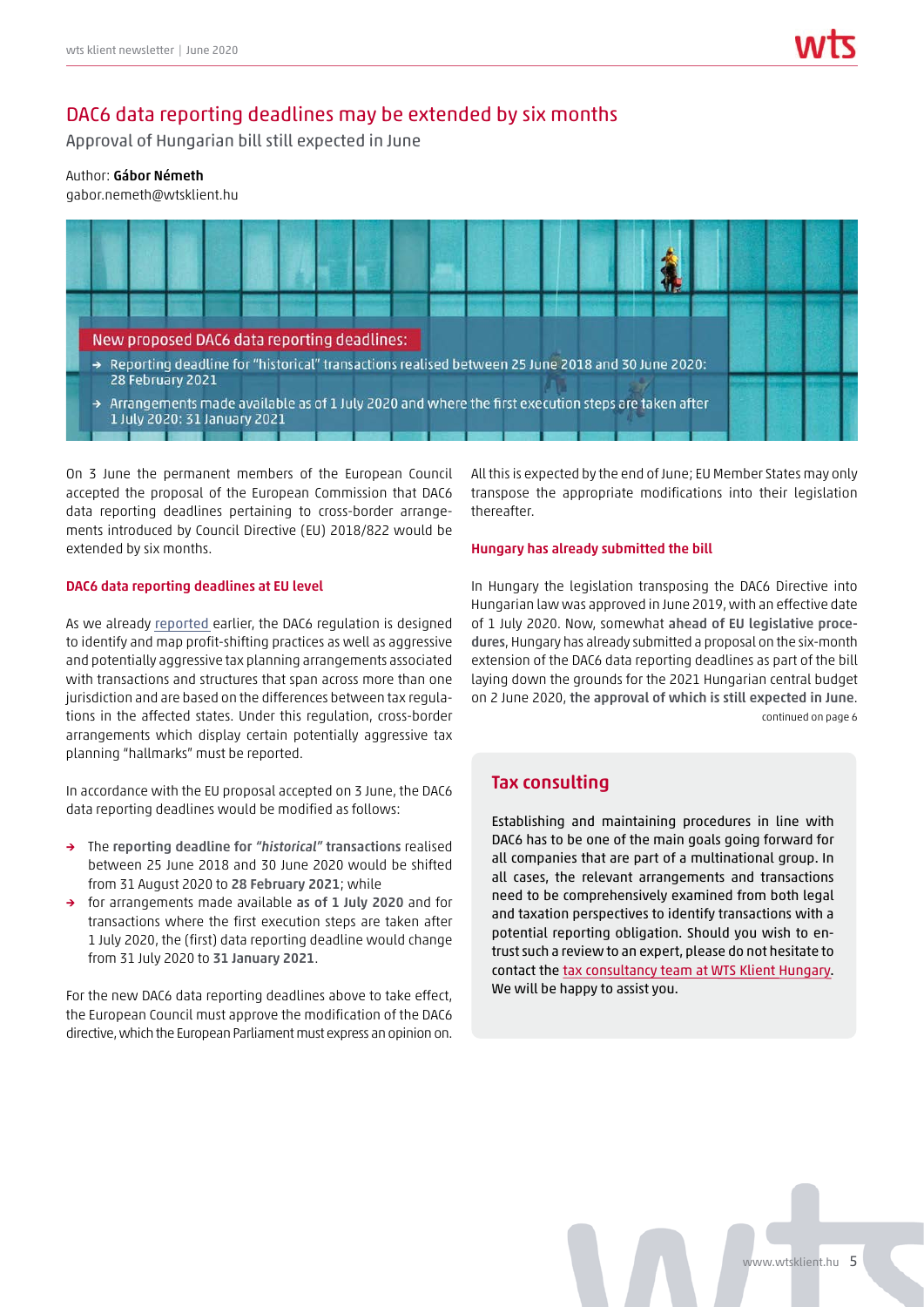#### DAC6 data reporting deadlines may be extended by six months

Approval of Hungarian bill still expected in June

#### Author: **Gábor Németh**

gabor.nemeth@wtsklient.hu



On 3 June the permanent members of the European Council accepted the proposal of the European Commission that DAC6 data reporting deadlines pertaining to cross-border arrangements introduced by Council Directive (EU) 2018/822 would be extended by six months.

#### **DAC6 data reporting deadlines at EU level**

As we already [reported](https://wtsklient.hu/en/2019/11/05/dac6/) earlier, the DAC6 regulation is designed to identify and map profit-shifting practices as well as aggressive and potentially aggressive tax planning arrangements associated with transactions and structures that span across more than one jurisdiction and are based on the differences between tax regulations in the affected states. Under this regulation, cross-border arrangements which display certain potentially aggressive tax planning "hallmarks" must be reported.

In accordance with the EU proposal accepted on 3 June, the DAC6 data reporting deadlines would be modified as follows:

- **→** The **reporting deadline for** *"historical"* **transactions** realised between 25 June 2018 and 30 June 2020 would be shifted from 31 August 2020 to **28 February 2021**; while
- **→** for arrangements made available **as of 1 July 2020** and for transactions where the first execution steps are taken after 1 July 2020, the (first) data reporting deadline would change from 31 July 2020 to **31 January 2021**.

For the new DAC6 data reporting deadlines above to take effect, the European Council must approve the modification of the DAC6 directive, which the European Parliament must express an opinion on. All this is expected by the end of June; EU Member States may only transpose the appropriate modifications into their legislation thereafter.

#### **Hungary has already submitted the bill**

In Hungary the legislation transposing the DAC6 Directive into Hungarian law was approved in June 2019, with an effective date of 1 July 2020. Now, somewhat **ahead of EU legislative procedures**, Hungary has already submitted a proposal on the six-month extension of the DAC6 data reporting deadlines as part of the bill laying down the grounds for the 2021 Hungarian central budget on 2 June 2020, **the approval of which is still expected in June**. continued on page 6

#### **Tax consulting**

Establishing and maintaining procedures in line with DAC6 has to be one of the main goals going forward for all companies that are part of a multinational group. In all cases, the relevant arrangements and transactions need to be comprehensively examined from both legal and taxation perspectives to identify transactions with a potential reporting obligation. Should you wish to entrust such a review to an expert, please do not hesitate to contact the [tax consultancy team at WTS Klient Hungary.](https://wtsklient.hu/en/services/tax-consulting/) We will be happy to assist you.

www.wtsklient.hu 5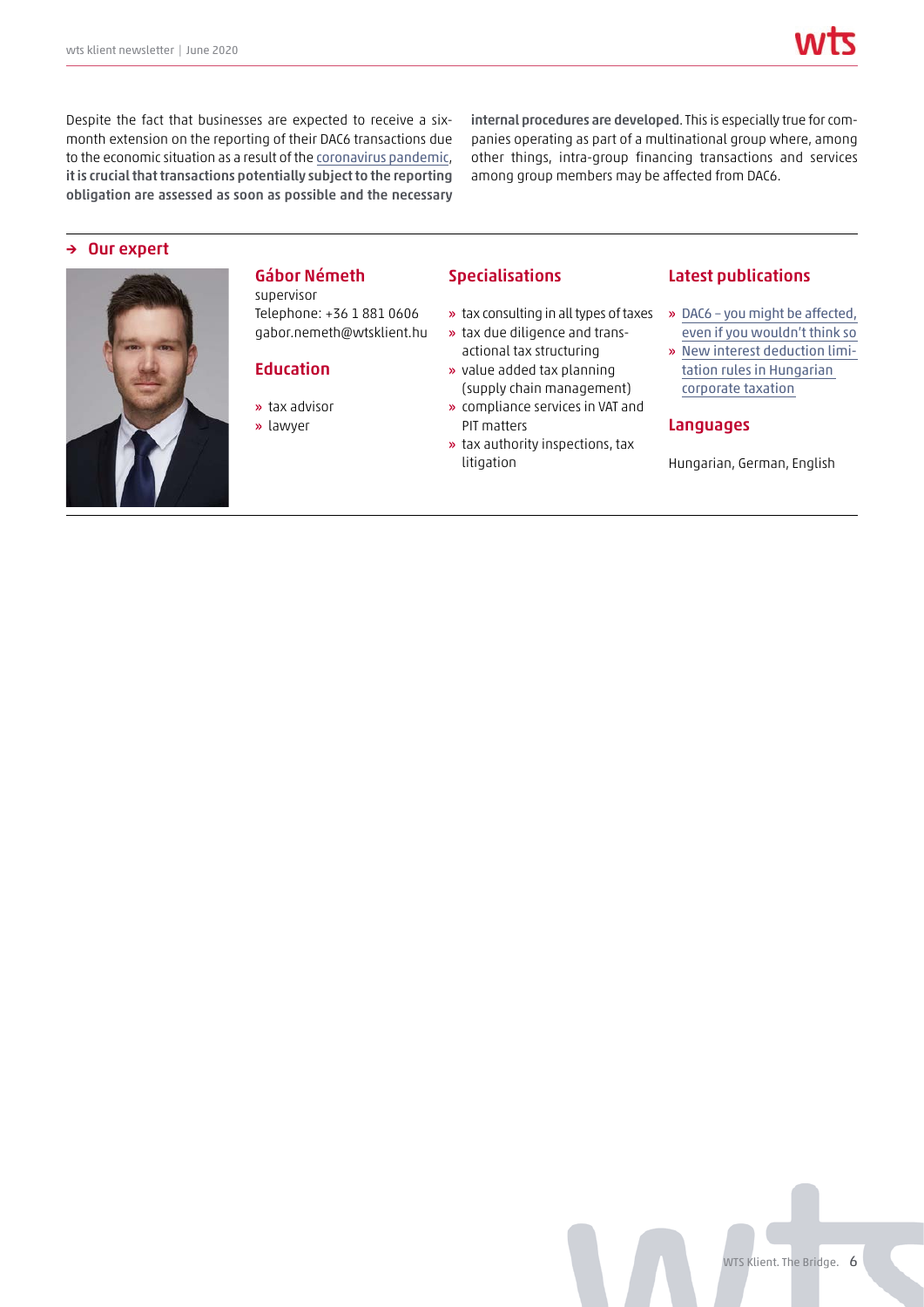Despite the fact that businesses are expected to receive a sixmonth extension on the reporting of their DAC6 transactions due to the economic situation as a result of the [coronavirus pandemic](https://wtsklient.hu/en/publications/coronavirus/), **it is crucial that transactions potentially subject to the reporting obligation are assessed as soon as possible and the necessary**

**internal procedures are developed**. This is especially true for companies operating as part of a multinational group where, among other things, intra-group financing transactions and services among group members may be affected from DAC6.

#### **→ Our expert**



**Gábor Németh**

supervisor Telephone: +36 1 881 0606

gabor.nemeth@wtsklient.hu

#### **Education**

- **»** tax advisor
- **»** lawyer

#### **Specialisations**

- **»** tax consulting in all types of taxes
- **»** tax due diligence and transactional tax structuring
- **»** value added tax planning (supply chain management)
- **»** compliance services in VAT and PIT matters
- **»** tax authority inspections, tax litigation

#### **Latest publications**

- **»** [DAC6 you might be affected,](https://wtsklient.hu/en/2019/11/05/dac6/) even if you wouldn't think so
- **»** [New interest deduction limi](https://wtsklient.hu/en/2019/04/16/new-interest-deduction-limitation-rules/)tation rules in Hungarian corporate taxation

#### **Languages**

Hungarian, German, English